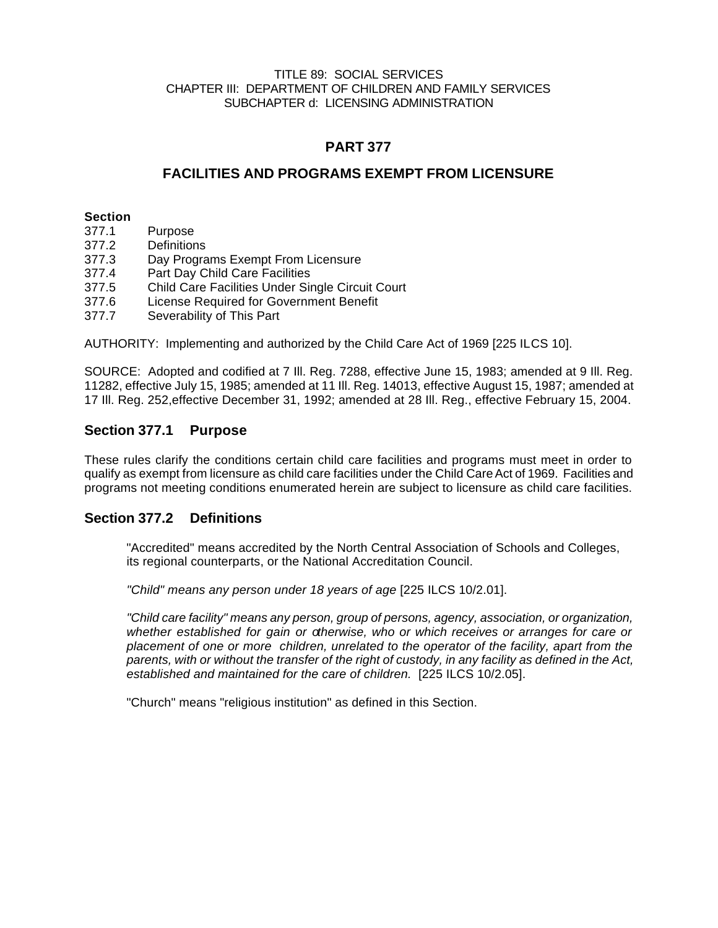#### TITLE 89: SOCIAL SERVICES CHAPTER III: DEPARTMENT OF CHILDREN AND FAMILY SERVICES SUBCHAPTER d: LICENSING ADMINISTRATION

# **PART 377**

## **FACILITIES AND PROGRAMS EXEMPT FROM LICENSURE**

#### **Section**

- 377.1 Purpose
- 377.2 Definitions
- 377.3 Day Programs Exempt From Licensure
- 377.4 Part Day Child Care Facilities
- 377.5 Child Care Facilities Under Single Circuit Court
- 377.6 License Required for Government Benefit
- 377.7 Severability of This Part

AUTHORITY: Implementing and authorized by the Child Care Act of 1969 [225 ILCS 10].

SOURCE: Adopted and codified at 7 Ill. Reg. 7288, effective June 15, 1983; amended at 9 Ill. Reg. 11282, effective July 15, 1985; amended at 11 Ill. Reg. 14013, effective August 15, 1987; amended at 17 Ill. Reg. 252,effective December 31, 1992; amended at 28 Ill. Reg., effective February 15, 2004.

### **Section 377.1 Purpose**

These rules clarify the conditions certain child care facilities and programs must meet in order to qualify as exempt from licensure as child care facilities under the Child Care Act of 1969. Facilities and programs not meeting conditions enumerated herein are subject to licensure as child care facilities.

### **Section 377.2 Definitions**

"Accredited" means accredited by the North Central Association of Schools and Colleges, its regional counterparts, or the National Accreditation Council.

*"Child" means any person under 18 years of age* [225 ILCS 10/2.01].

*"Child care facility" means any person, group of persons, agency, association, or organization, whether established for gain or otherwise, who or which receives or arranges for care or placement of one or more children, unrelated to the operator of the facility, apart from the parents, with or without the transfer of the right of custody, in any facility as defined in the Act, established and maintained for the care of children.* [225 ILCS 10/2.05].

"Church" means "religious institution" as defined in this Section.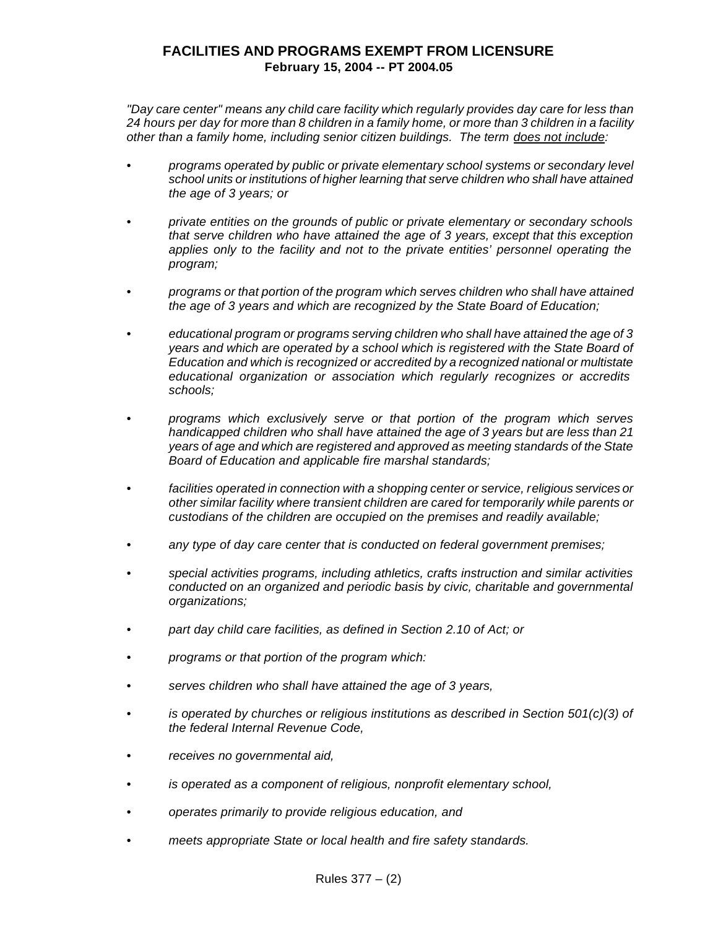*"Day care center" means any child care facility which regularly provides day care for less than 24 hours per day for more than 8 children in a family home, or more than 3 children in a facility other than a family home, including senior citizen buildings. The term does not include:*

- *• programs operated by public or private elementary school systems or secondary level school units or institutions of higher learning that serve children who shall have attained the age of 3 years; or*
- *• private entities on the grounds of public or private elementary or secondary schools that serve children who have attained the age of 3 years, except that this exception applies only to the facility and not to the private entities' personnel operating the program;*
- *• programs or that portion of the program which serves children who shall have attained the age of 3 years and which are recognized by the State Board of Education;*
- *• educational program or programs serving children who shall have attained the age of 3 years and which are operated by a school which is registered with the State Board of Education and which is recognized or accredited by a recognized national or multistate educational organization or association which regularly recognizes or accredits schools;*
- *• programs which exclusively serve or that portion of the program which serves handicapped children who shall have attained the age of 3 years but are less than 21 years of age and which are registered and approved as meeting standards of the State Board of Education and applicable fire marshal standards;*
- *• facilities operated in connection with a shopping center or service, religious services or other similar facility where transient children are cared for temporarily while parents or custodians of the children are occupied on the premises and readily available;*
- *• any type of day care center that is conducted on federal government premises;*
- *• special activities programs, including athletics, crafts instruction and similar activities conducted on an organized and periodic basis by civic, charitable and governmental organizations;*
- *• part day child care facilities, as defined in Section 2.10 of Act; or*
- *• programs or that portion of the program which:*
- *• serves children who shall have attained the age of 3 years,*
- *• is operated by churches or religious institutions as described in Section 501(c)(3) of the federal Internal Revenue Code,*
- *• receives no governmental aid,*
- *• is operated as a component of religious, nonprofit elementary school,*
- *• operates primarily to provide religious education, and*
- *• meets appropriate State or local health and fire safety standards.*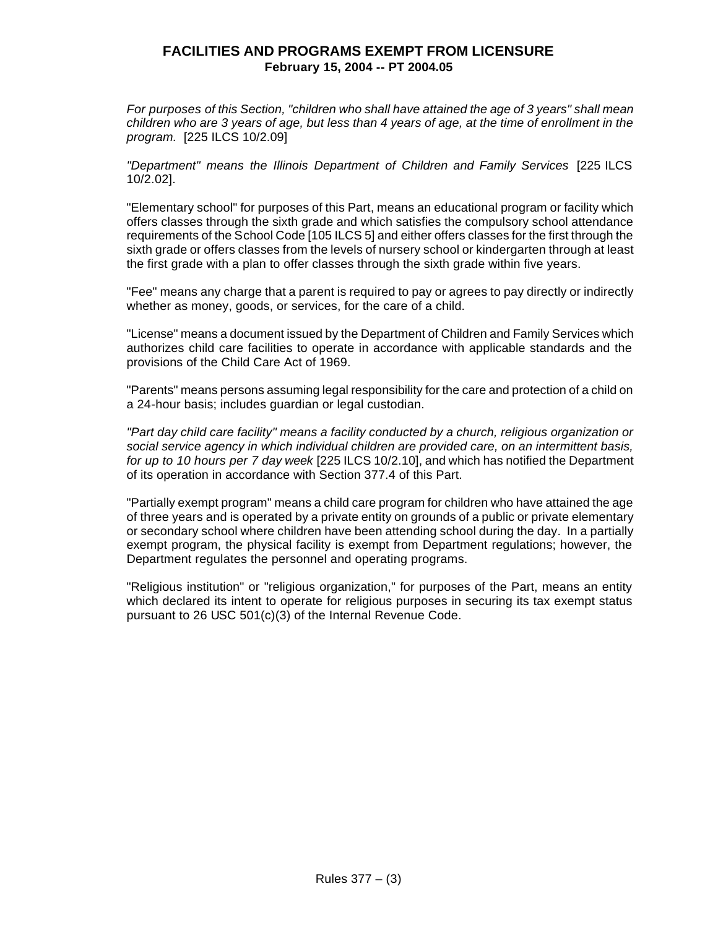*For purposes of this Section, "children who shall have attained the age of 3 years" shall mean children who are 3 years of age, but less than 4 years of age, at the time of enrollment in the program.* [225 ILCS 10/2.09]

*"Department" means the Illinois Department of Children and Family Services* [225 ILCS 10/2.02].

"Elementary school" for purposes of this Part, means an educational program or facility which offers classes through the sixth grade and which satisfies the compulsory school attendance requirements of the School Code [105 ILCS 5] and either offers classes for the first through the sixth grade or offers classes from the levels of nursery school or kindergarten through at least the first grade with a plan to offer classes through the sixth grade within five years.

"Fee" means any charge that a parent is required to pay or agrees to pay directly or indirectly whether as money, goods, or services, for the care of a child.

"License" means a document issued by the Department of Children and Family Services which authorizes child care facilities to operate in accordance with applicable standards and the provisions of the Child Care Act of 1969.

"Parents" means persons assuming legal responsibility for the care and protection of a child on a 24-hour basis; includes guardian or legal custodian.

*"Part day child care facility" means a facility conducted by a church, religious organization or social service agency in which individual children are provided care, on an intermittent basis, for up to 10 hours per 7 day week* [225 ILCS 10/2.10], and which has notified the Department of its operation in accordance with Section 377.4 of this Part.

"Partially exempt program" means a child care program for children who have attained the age of three years and is operated by a private entity on grounds of a public or private elementary or secondary school where children have been attending school during the day. In a partially exempt program, the physical facility is exempt from Department regulations; however, the Department regulates the personnel and operating programs.

"Religious institution" or "religious organization," for purposes of the Part, means an entity which declared its intent to operate for religious purposes in securing its tax exempt status pursuant to 26 USC 501(c)(3) of the Internal Revenue Code.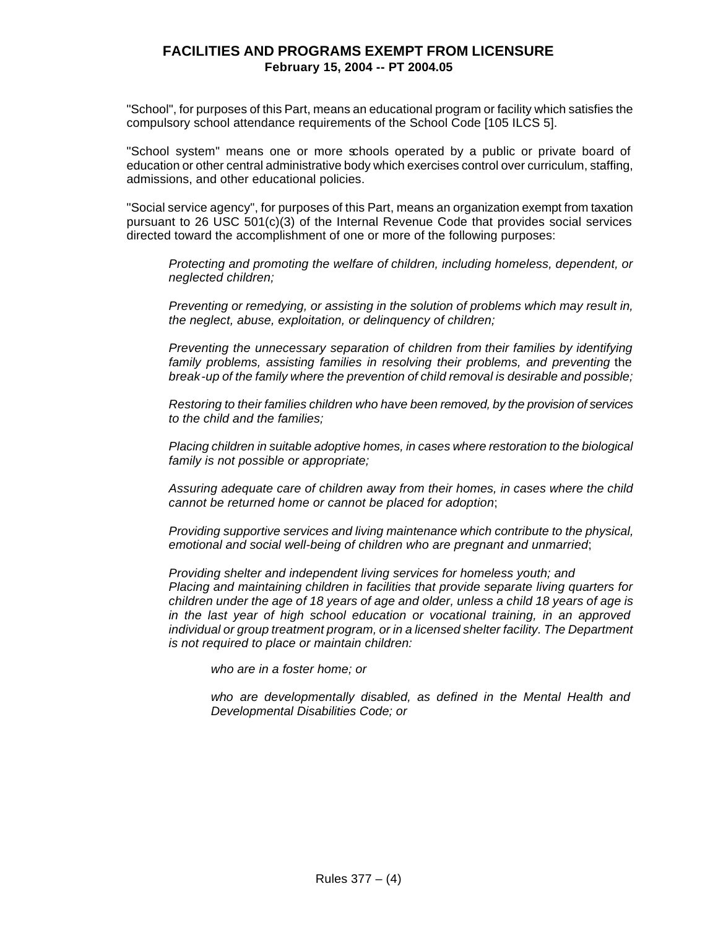"School", for purposes of this Part, means an educational program or facility which satisfies the compulsory school attendance requirements of the School Code [105 ILCS 5].

"School system" means one or more schools operated by a public or private board of education or other central administrative body which exercises control over curriculum, staffing, admissions, and other educational policies.

"Social service agency", for purposes of this Part, means an organization exempt from taxation pursuant to 26 USC 501(c)(3) of the Internal Revenue Code that provides social services directed toward the accomplishment of one or more of the following purposes:

*Protecting and promoting the welfare of children, including homeless, dependent, or neglected children;*

*Preventing or remedying, or assisting in the solution of problems which may result in, the neglect, abuse, exploitation, or delinquency of children;*

*Preventing the unnecessary separation of children from their families by identifying family problems, assisting families in resolving their problems, and preventing* the *break-up of the family where the prevention of child removal is desirable and possible;*

*Restoring to their families children who have been removed, by the provision of services to the child and the families;*

*Placing children in suitable adoptive homes, in cases where restoration to the biological family is not possible or appropriate;*

*Assuring adequate care of children away from their homes, in cases where the child cannot be returned home or cannot be placed for adoption*;

*Providing supportive services and living maintenance which contribute to the physical, emotional and social well-being of children who are pregnant and unmarried*;

*Providing shelter and independent living services for homeless youth; and Placing and maintaining children in facilities that provide separate living quarters for children under the age of 18 years of age and older, unless a child 18 years of age is in the last year of high school education or vocational training, in an approved individual or group treatment program, or in a licensed shelter facility. The Department is not required to place or maintain children:*

*who are in a foster home; or*

*who are developmentally disabled, as defined in the Mental Health and Developmental Disabilities Code; or*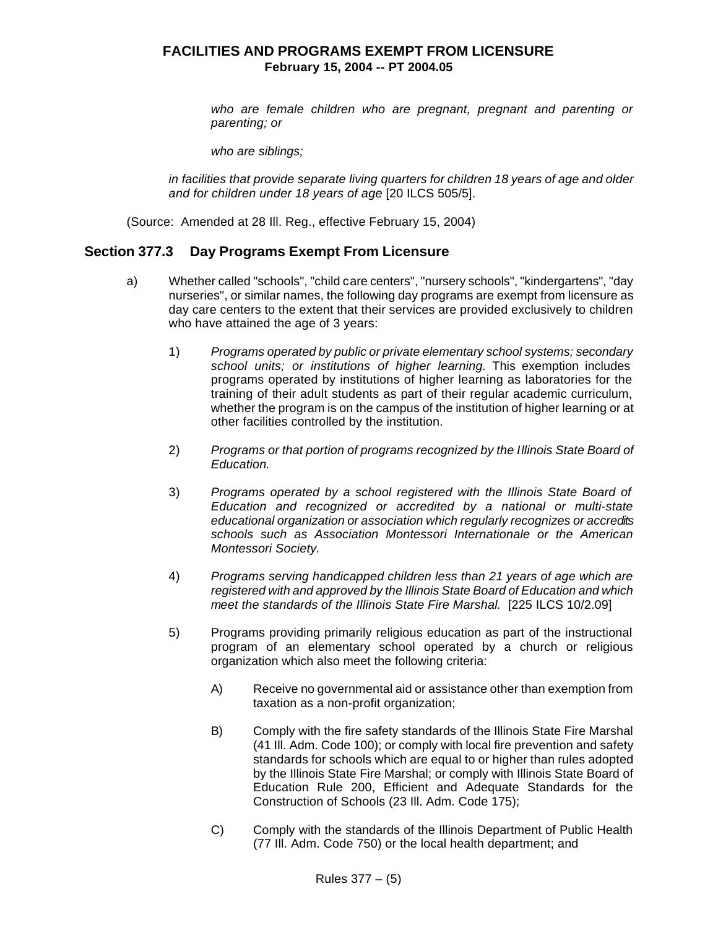*who are female children who are pregnant, pregnant and parenting or parenting; or*

*who are siblings;*

*in facilities that provide separate living quarters for children 18 years of age and older and for children under 18 years of age* [20 ILCS 505/5].

(Source: Amended at 28 Ill. Reg., effective February 15, 2004)

### **Section 377.3 Day Programs Exempt From Licensure**

- a) Whether called "schools", "child care centers", "nursery schools", "kindergartens", "day nurseries", or similar names, the following day programs are exempt from licensure as day care centers to the extent that their services are provided exclusively to children who have attained the age of 3 years:
	- 1) *Programs operated by public or private elementary school systems; secondary school units; or institutions of higher learning.* This exemption includes programs operated by institutions of higher learning as laboratories for the training of their adult students as part of their regular academic curriculum, whether the program is on the campus of the institution of higher learning or at other facilities controlled by the institution.
	- 2) *Programs or that portion of programs recognized by the Illinois State Board of Education.*
	- 3) *Programs operated by a school registered with the Illinois State Board of Education and recognized or accredited by a national or multi-state educational organization or association which regularly recognizes or accredits schools such as Association Montessori Internationale or the American Montessori Society.*
	- 4) *Programs serving handicapped children less than 21 years of age which are registered with and approved by the Illinois State Board of Education and which meet the standards of the Illinois State Fire Marshal.* [225 ILCS 10/2.09]
	- 5) Programs providing primarily religious education as part of the instructional program of an elementary school operated by a church or religious organization which also meet the following criteria:
		- A) Receive no governmental aid or assistance other than exemption from taxation as a non-profit organization;
		- B) Comply with the fire safety standards of the Illinois State Fire Marshal (41 Ill. Adm. Code 100); or comply with local fire prevention and safety standards for schools which are equal to or higher than rules adopted by the Illinois State Fire Marshal; or comply with Illinois State Board of Education Rule 200, Efficient and Adequate Standards for the Construction of Schools (23 Ill. Adm. Code 175);
		- C) Comply with the standards of the Illinois Department of Public Health (77 Ill. Adm. Code 750) or the local health department; and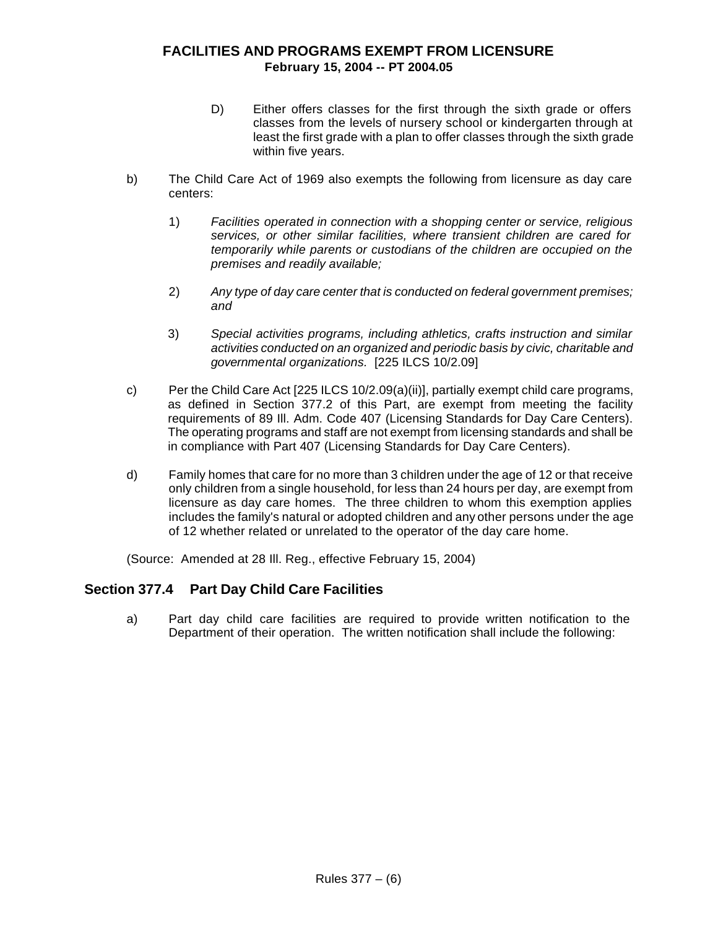- D) Either offers classes for the first through the sixth grade or offers classes from the levels of nursery school or kindergarten through at least the first grade with a plan to offer classes through the sixth grade within five years.
- b) The Child Care Act of 1969 also exempts the following from licensure as day care centers:
	- 1) *Facilities operated in connection with a shopping center or service, religious services, or other similar facilities, where transient children are cared for temporarily while parents or custodians of the children are occupied on the premises and readily available;*
	- 2) *Any type of day care center that is conducted on federal government premises; and*
	- 3) *Special activities programs, including athletics, crafts instruction and similar activities conducted on an organized and periodic basis by civic, charitable and governmental organizations.* [225 ILCS 10/2.09]
- c) Per the Child Care Act [225 ILCS 10/2.09(a)(ii)], partially exempt child care programs, as defined in Section 377.2 of this Part, are exempt from meeting the facility requirements of 89 Ill. Adm. Code 407 (Licensing Standards for Day Care Centers). The operating programs and staff are not exempt from licensing standards and shall be in compliance with Part 407 (Licensing Standards for Day Care Centers).
- d) Family homes that care for no more than 3 children under the age of 12 or that receive only children from a single household, for less than 24 hours per day, are exempt from licensure as day care homes. The three children to whom this exemption applies includes the family's natural or adopted children and any other persons under the age of 12 whether related or unrelated to the operator of the day care home.

(Source: Amended at 28 Ill. Reg., effective February 15, 2004)

# **Section 377.4 Part Day Child Care Facilities**

a) Part day child care facilities are required to provide written notification to the Department of their operation. The written notification shall include the following: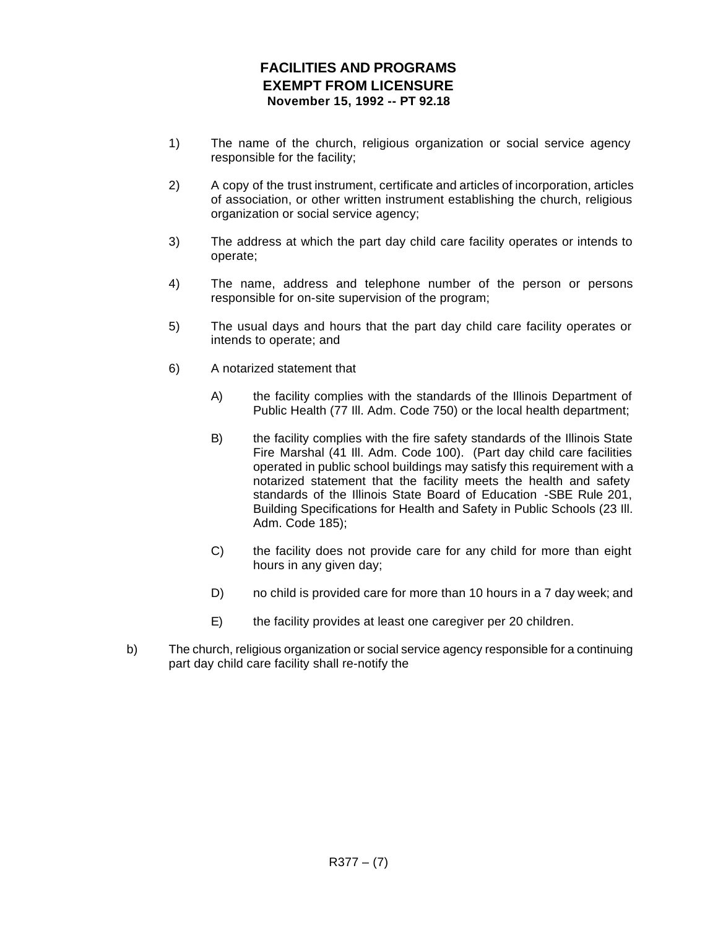# **FACILITIES AND PROGRAMS EXEMPT FROM LICENSURE November 15, 1992 -- PT 92.18**

- 1) The name of the church, religious organization or social service agency responsible for the facility;
- 2) A copy of the trust instrument, certificate and articles of incorporation, articles of association, or other written instrument establishing the church, religious organization or social service agency;
- 3) The address at which the part day child care facility operates or intends to operate;
- 4) The name, address and telephone number of the person or persons responsible for on-site supervision of the program;
- 5) The usual days and hours that the part day child care facility operates or intends to operate; and
- 6) A notarized statement that
	- A) the facility complies with the standards of the Illinois Department of Public Health (77 Ill. Adm. Code 750) or the local health department;
	- B) the facility complies with the fire safety standards of the Illinois State Fire Marshal (41 Ill. Adm. Code 100). (Part day child care facilities operated in public school buildings may satisfy this requirement with a notarized statement that the facility meets the health and safety standards of the Illinois State Board of Education -SBE Rule 201, Building Specifications for Health and Safety in Public Schools (23 Ill. Adm. Code 185);
	- C) the facility does not provide care for any child for more than eight hours in any given day;
	- D) no child is provided care for more than 10 hours in a 7 day week; and
	- E) the facility provides at least one caregiver per 20 children.
- b) The church, religious organization or social service agency responsible for a continuing part day child care facility shall re-notify the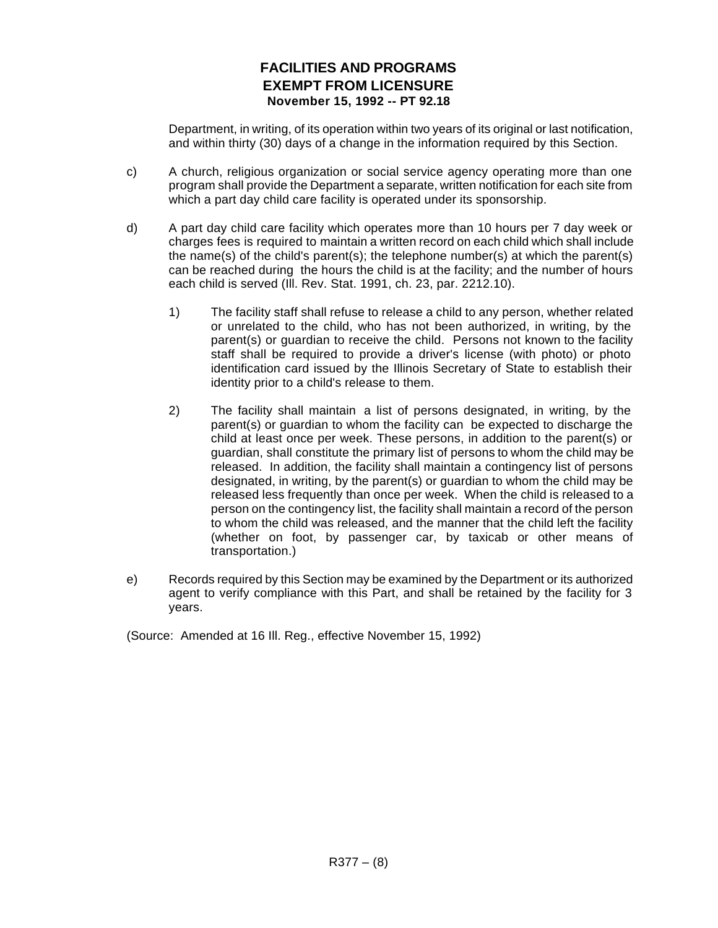# **FACILITIES AND PROGRAMS EXEMPT FROM LICENSURE November 15, 1992 -- PT 92.18**

Department, in writing, of its operation within two years of its original or last notification, and within thirty (30) days of a change in the information required by this Section.

- c) A church, religious organization or social service agency operating more than one program shall provide the Department a separate, written notification for each site from which a part day child care facility is operated under its sponsorship.
- d) A part day child care facility which operates more than 10 hours per 7 day week or charges fees is required to maintain a written record on each child which shall include the name(s) of the child's parent(s); the telephone number(s) at which the parent(s) can be reached during the hours the child is at the facility; and the number of hours each child is served (Ill. Rev. Stat. 1991, ch. 23, par. 2212.10).
	- 1) The facility staff shall refuse to release a child to any person, whether related or unrelated to the child, who has not been authorized, in writing, by the parent(s) or guardian to receive the child. Persons not known to the facility staff shall be required to provide a driver's license (with photo) or photo identification card issued by the Illinois Secretary of State to establish their identity prior to a child's release to them.
	- 2) The facility shall maintain a list of persons designated, in writing, by the parent(s) or guardian to whom the facility can be expected to discharge the child at least once per week. These persons, in addition to the parent(s) or guardian, shall constitute the primary list of persons to whom the child may be released. In addition, the facility shall maintain a contingency list of persons designated, in writing, by the parent(s) or guardian to whom the child may be released less frequently than once per week. When the child is released to a person on the contingency list, the facility shall maintain a record of the person to whom the child was released, and the manner that the child left the facility (whether on foot, by passenger car, by taxicab or other means of transportation.)
- e) Records required by this Section may be examined by the Department or its authorized agent to verify compliance with this Part, and shall be retained by the facility for 3 years.

(Source: Amended at 16 Ill. Reg., effective November 15, 1992)